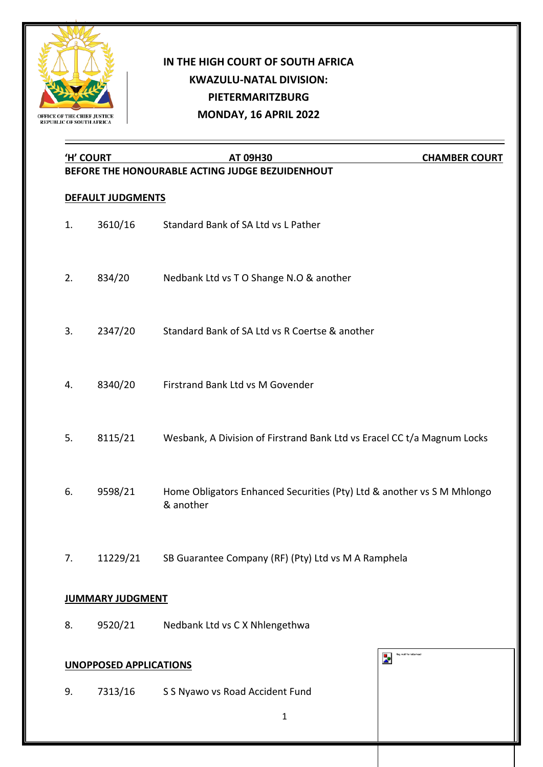

## **IN THE HIGH COURT OF SOUTH AFRICA KWAZULU-NATAL DIVISION: PIETERMARITZBURG MONDAY, 16 APRIL 2022**

|                   | <u>'H' COURT</u>              | AT 09H30                                                                            | <b>CHAMBER COURT</b>      |  |
|-------------------|-------------------------------|-------------------------------------------------------------------------------------|---------------------------|--|
|                   |                               | BEFORE THE HONOURABLE ACTING JUDGE BEZUIDENHOUT                                     |                           |  |
| DEFAULT JUDGMENTS |                               |                                                                                     |                           |  |
| 1.                | 3610/16                       | Standard Bank of SA Ltd vs L Pather                                                 |                           |  |
| 2.                | 834/20                        | Nedbank Ltd vs T O Shange N.O & another                                             |                           |  |
| 3.                | 2347/20                       | Standard Bank of SA Ltd vs R Coertse & another                                      |                           |  |
| 4.                | 8340/20                       | Firstrand Bank Ltd vs M Govender                                                    |                           |  |
| 5.                | 8115/21                       | Wesbank, A Division of Firstrand Bank Ltd vs Eracel CC t/a Magnum Locks             |                           |  |
| 6.                | 9598/21                       | Home Obligators Enhanced Securities (Pty) Ltd & another vs S M Mhlongo<br>& another |                           |  |
| 7.                |                               | 11229/21 SB Guarantee Company (RF) (Pty) Ltd vs M A Ramphela                        |                           |  |
|                   | <b>JUMMARY JUDGMENT</b>       |                                                                                     |                           |  |
| 8.                | 9520/21                       | Nedbank Ltd vs C X Nhlengethwa                                                      |                           |  |
|                   | <b>UNOPPOSED APPLICATIONS</b> | z                                                                                   | flag motif for letterhead |  |
| 9.                | 7313/16                       | S S Nyawo vs Road Accident Fund                                                     |                           |  |
|                   |                               | 1                                                                                   |                           |  |
|                   |                               |                                                                                     |                           |  |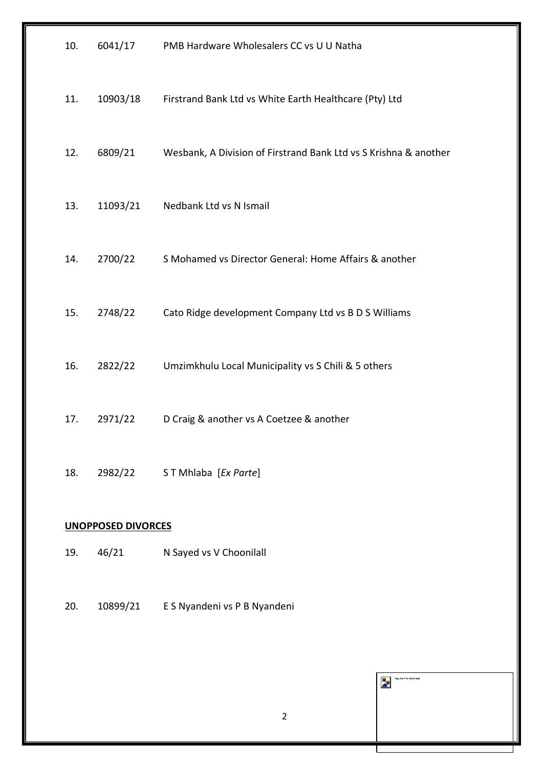| 10.                       | 6041/17  | PMB Hardware Wholesalers CC vs U U Natha                         |  |  |  |
|---------------------------|----------|------------------------------------------------------------------|--|--|--|
| 11.                       | 10903/18 | Firstrand Bank Ltd vs White Earth Healthcare (Pty) Ltd           |  |  |  |
| 12.                       | 6809/21  | Wesbank, A Division of Firstrand Bank Ltd vs S Krishna & another |  |  |  |
| 13.                       | 11093/21 | Nedbank Ltd vs N Ismail                                          |  |  |  |
| 14.                       | 2700/22  | S Mohamed vs Director General: Home Affairs & another            |  |  |  |
| 15.                       | 2748/22  | Cato Ridge development Company Ltd vs B D S Williams             |  |  |  |
| 16.                       | 2822/22  | Umzimkhulu Local Municipality vs S Chili & 5 others              |  |  |  |
| 17.                       | 2971/22  | D Craig & another vs A Coetzee & another                         |  |  |  |
| 18.                       | 2982/22  | ST Mhlaba [Ex Parte]                                             |  |  |  |
| <b>UNOPPOSED DIVORCES</b> |          |                                                                  |  |  |  |
| 19.                       | 46/21    | N Sayed vs V Choonilall                                          |  |  |  |
| 20.                       |          | 10899/21 E S Nyandeni vs P B Nyandeni                            |  |  |  |
|                           |          |                                                                  |  |  |  |
|                           |          | flag motif for letterhead<br>Þ                                   |  |  |  |
|                           |          | $\overline{2}$                                                   |  |  |  |